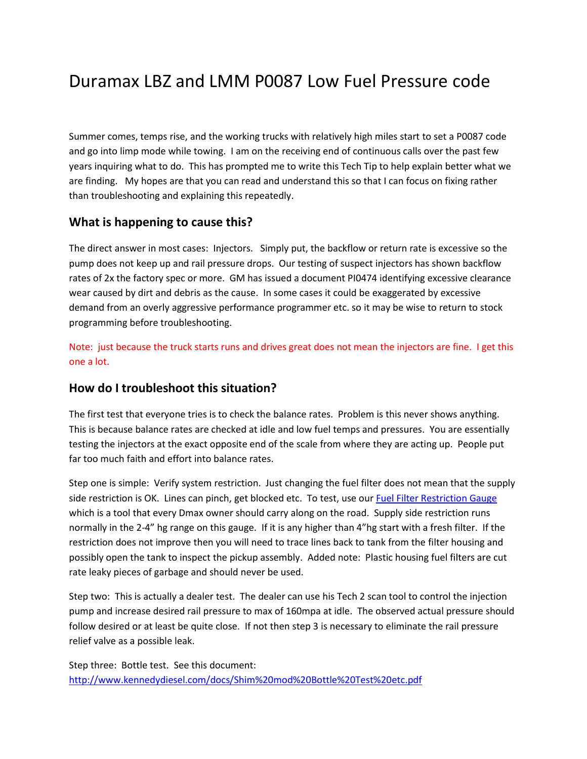# Duramax LBZ and LMM P0087 Low Fuel Pressure code

Summer comes, temps rise, and the working trucks with relatively high miles start to set a P0087 code and go into limp mode while towing. I am on the receiving end of continuous calls over the past few years inquiring what to do. This has prompted me to write this Tech Tip to help explain better what we are finding. My hopes are that you can read and understand this so that I can focus on fixing rather than troubleshooting and explaining this repeatedly.

#### **What is happening to cause this?**

The direct answer in most cases: Injectors. Simply put, the backflow or return rate is excessive so the pump does not keep up and rail pressure drops. Our testing of suspect injectors has shown backflow rates of 2x the factory spec or more. GM has issued a document PI0474 identifying excessive clearance wear caused by dirt and debris as the cause. In some cases it could be exaggerated by excessive demand from an overly aggressive performance programmer etc. so it may be wise to return to stock programming before troubleshooting.

Note: just because the truck starts runs and drives great does not mean the injectors are fine. I get this one a lot.

### **How do I troubleshoot this situation?**

The first test that everyone tries is to check the balance rates. Problem is this never shows anything. This is because balance rates are checked at idle and low fuel temps and pressures. You are essentially testing the injectors at the exact opposite end of the scale from where they are acting up. People put far too much faith and effort into balance rates.

Step one is simple: Verify system restriction. Just changing the fuel filter does not mean that the supply side restriction is OK. Lines can pinch, get blocked etc. To test, use our [Fuel Filter Restriction Gauge](http://www.kennedydiesel.com/detail.cfm?ID=289) which is a tool that every Dmax owner should carry along on the road. Supply side restriction runs normally in the 2-4" hg range on this gauge. If it is any higher than 4"hg start with a fresh filter. If the restriction does not improve then you will need to trace lines back to tank from the filter housing and possibly open the tank to inspect the pickup assembly. Added note: Plastic housing fuel filters are cut rate leaky pieces of garbage and should never be used.

Step two: This is actually a dealer test. The dealer can use his Tech 2 scan tool to control the injection pump and increase desired rail pressure to max of 160mpa at idle. The observed actual pressure should follow desired or at least be quite close. If not then step 3 is necessary to eliminate the rail pressure relief valve as a possible leak.

Step three: Bottle test. See this document: <http://www.kennedydiesel.com/docs/Shim%20mod%20Bottle%20Test%20etc.pdf>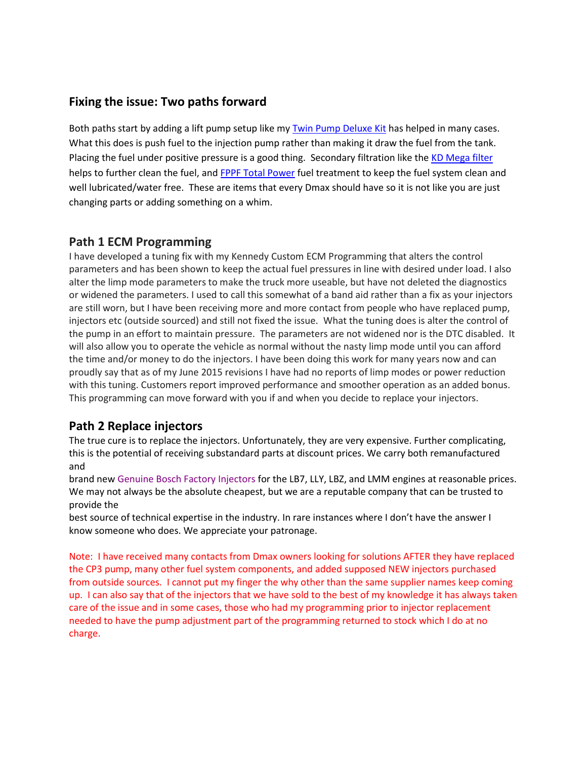## **Fixing the issue: Two paths forward**

Both paths start by adding a lift pump setup like my [Twin Pump Deluxe Kit](http://www.kennedydiesel.com/detail.cfm?ID=601) has helped in many cases. What this does is push fuel to the injection pump rather than making it draw the fuel from the tank. Placing the fuel under positive pressure is a good thing. Secondary filtration like the [KD Mega filter](http://www.kennedydiesel.com/detail.cfm?ID=241) helps to further clean the fuel, and [FPPF Total Power](http://www.kennedydiesel.com/categoryresults2.cfm?Category=9&SubCategory=98) fuel treatment to keep the fuel system clean and well lubricated/water free. These are items that every Dmax should have so it is not like you are just changing parts or adding something on a whim.

#### **Path 1 ECM Programming**

I have developed a tuning fix with my Kennedy Custom ECM Programming that alters the control parameters and has been shown to keep the actual fuel pressures in line with desired under load. I also alter the limp mode parameters to make the truck more useable, but have not deleted the diagnostics or widened the parameters. I used to call this somewhat of a band aid rather than a fix as your injectors are still worn, but I have been receiving more and more contact from people who have replaced pump, injectors etc (outside sourced) and still not fixed the issue. What the tuning does is alter the control of the pump in an effort to maintain pressure. The parameters are not widened nor is the DTC disabled. It will also allow you to operate the vehicle as normal without the nasty limp mode until you can afford the time and/or money to do the injectors. I have been doing this work for many years now and can proudly say that as of my June 2015 revisions I have had no reports of limp modes or power reduction with this tuning. Customers report improved performance and smoother operation as an added bonus. This programming can move forward with you if and when you decide to replace your injectors.

### **Path 2 Replace injectors**

The true cure is to replace the injectors. Unfortunately, they are very expensive. Further complicating, this is the potential of receiving substandard parts at discount prices. We carry both remanufactured and

brand new Genuine Bosch Factory Injectors for the LB7, LLY, LBZ, and LMM engines at reasonable prices. We may not always be the absolute cheapest, but we are a reputable company that can be trusted to provide the

best source of technical expertise in the industry. In rare instances where I don't have the answer I know someone who does. We appreciate your patronage.

Note: I have received many contacts from Dmax owners looking for solutions AFTER they have replaced the CP3 pump, many other fuel system components, and added supposed NEW injectors purchased from outside sources. I cannot put my finger the why other than the same supplier names keep coming up. I can also say that of the injectors that we have sold to the best of my knowledge it has always taken care of the issue and in some cases, those who had my programming prior to injector replacement needed to have the pump adjustment part of the programming returned to stock which I do at no charge.